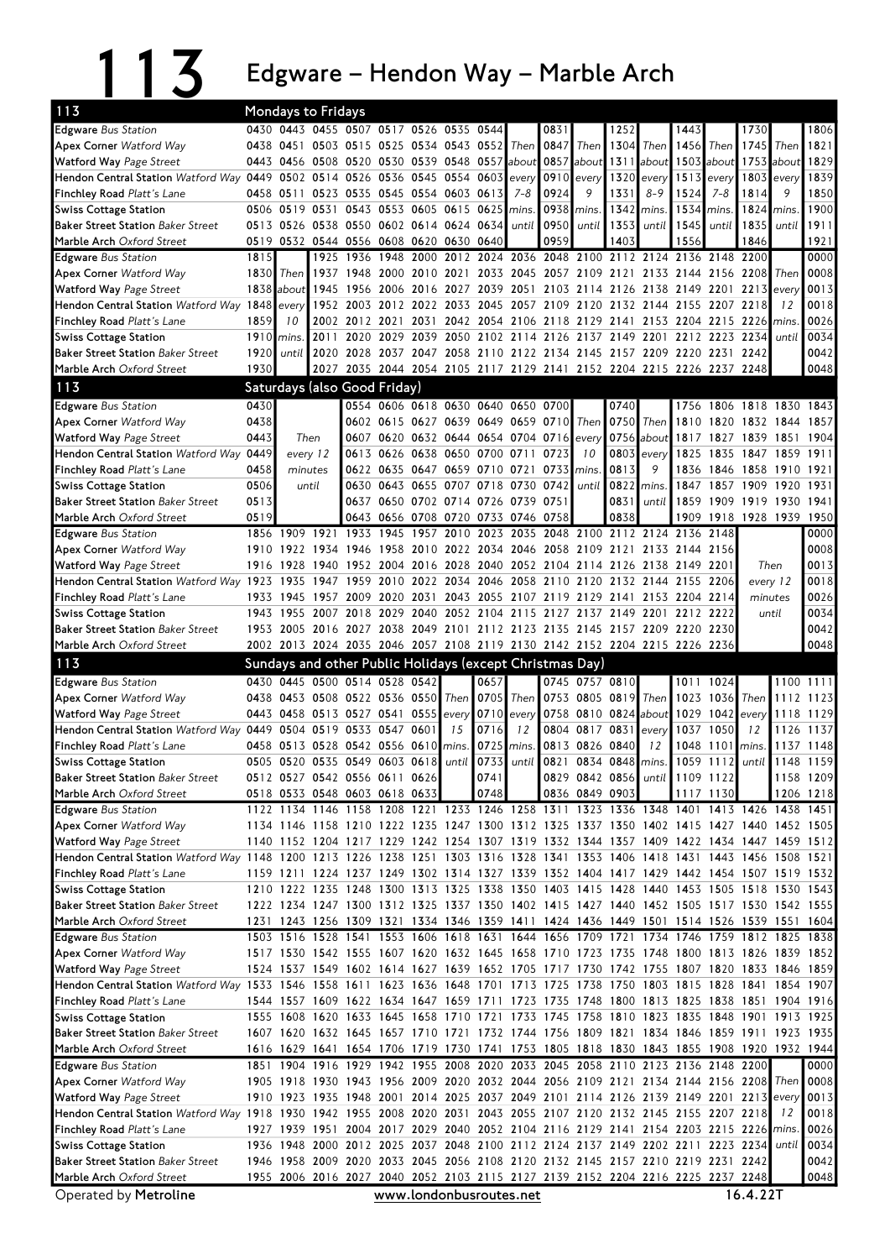113 **13** Edgware – Hendon Way – Marble Arch

| 113                                                                                                                          |              | <b>Mondays to Fridays</b> |                                                          |                        |                                                                |              |                               |                |         |                               |                   |                               |               |                                                                                           |            |                             |              |              |
|------------------------------------------------------------------------------------------------------------------------------|--------------|---------------------------|----------------------------------------------------------|------------------------|----------------------------------------------------------------|--------------|-------------------------------|----------------|---------|-------------------------------|-------------------|-------------------------------|---------------|-------------------------------------------------------------------------------------------|------------|-----------------------------|--------------|--------------|
| <b>Edgware</b> Bus Station                                                                                                   |              |                           | 0430 0443 0455 0507 0517 0526 0535 0544                  |                        |                                                                |              |                               |                |         | 0831                          |                   | 1252                          |               | 1443                                                                                      |            | 1730                        |              | 1806         |
| <b>Apex Corner Watford Way</b>                                                                                               | 0438         | 0451                      |                                                          |                        | 0503 0515 0525 0534 0543 0552                                  |              |                               |                | Then    | 0847                          | Then              | 1304                          | Then          | 1456 Then                                                                                 |            | 1745                        | Then         | 1821         |
| Watford Way Page Street                                                                                                      | 0443         |                           | 0456 0508 0520 0530 0539 0548 0557 about                 |                        |                                                                |              |                               |                |         |                               | $0857$ about 1311 |                               | about         |                                                                                           | 1503 about | 1753                        | about        | 1829         |
| Hendon Central Station Watford Way 0449 0502 0514 0526 0536 0545 0554 0603                                                   |              |                           |                                                          |                        |                                                                |              |                               |                | every   | 0910                          | every             | 1320                          | every         | 1513                                                                                      | every      | 1803                        | every        | 1839         |
| Finchley Road Platt's Lane                                                                                                   | 0458         |                           | 0511 0523 0535 0545                                      |                        |                                                                |              | 0554 0603 0613                |                | $7 - 8$ | 0924                          | 9                 | 1331                          | $8 - 9$       | 1524                                                                                      | $7 - 8$    | 1814                        | 9            | 1850         |
| <b>Swiss Cottage Station</b>                                                                                                 | 0506         | 0519                      | 0531                                                     |                        | 0543 0553 0605 0615 0625                                       |              |                               |                | mins.   | 0938                          | mins.             | 1342                          | mins.         | 1534                                                                                      | mins.      | 1824                        | mins.        | 1900         |
| <b>Baker Street Station Baker Street</b>                                                                                     |              |                           | 0513 0526 0538 0550 0602 0614 0624                       |                        |                                                                |              |                               | 0634           | until   | 0950                          | until             | 1353                          | until         | 1545                                                                                      | until      | 1835                        | until        | 1911         |
| Marble Arch Oxford Street                                                                                                    | 0519         |                           | 0532 0544 0556 0608 0620                                 |                        |                                                                |              | 0630                          | 0640           |         | 0959                          |                   | 1403                          |               | 1556                                                                                      |            | 1846                        |              | 1921         |
| <b>Edgware</b> Bus Station                                                                                                   | 1815         |                           | 1925                                                     | 1936                   | 1948                                                           | 2000         | 2012                          |                |         |                               |                   |                               |               | 2024 2036 2048 2100 2112 2124 2136 2148 2200                                              |            |                             |              | 0000         |
| <b>Apex Corner Watford Way</b>                                                                                               | 1830         | Then                      |                                                          |                        | 1937 1948 2000 2010 2021                                       |              |                               |                |         |                               |                   | 2033 2045 2057 2109 2121      |               | 2133 2144 2156 2208                                                                       |            |                             | Then         | 0008         |
| Watford Way Page Street                                                                                                      |              | 1838 about                |                                                          | 1945 1956              | 2006                                                           | 2016         | 2027                          | 2039           | 2051    |                               | 2103 2114 2126    |                               |               | 2138 2149                                                                                 |            | 2201 2213                   | every        | 0013         |
| Hendon Central Station Watford Way 1848 every                                                                                |              |                           |                                                          | 1952 2003              | 2012                                                           |              | 2022 2033 2045                |                |         |                               |                   | 2057 2109 2120 2132 2144 2155 |               |                                                                                           | 2207 2218  |                             | 12           | 0018         |
| Finchley Road Platt's Lane                                                                                                   | 1859<br>1910 | 10                        | 2011                                                     | 2002 2012 2021<br>2020 | 2029                                                           | 2031<br>2039 |                               |                |         |                               |                   |                               | 2201          | 2042 2054 2106 2118 2129 2141 2153 2204 2215 2226<br>2212 2223 2234                       |            |                             | mins         | 0026<br>0034 |
| <b>Swiss Cottage Station</b><br><b>Baker Street Station Baker Street</b>                                                     | 1920         | mins<br>until l           |                                                          |                        |                                                                |              |                               |                |         | 2050 2102 2114 2126 2137 2149 |                   |                               |               | 2020 2028 2037 2047 2058 2110 2122 2134 2145 2157 2209 2220 2231 2242                     |            |                             | until        | 0042         |
| Marble Arch Oxford Street                                                                                                    | 1930         |                           |                                                          |                        |                                                                |              |                               |                |         |                               |                   |                               |               | 2027 2035 2044 2054 2105 2117 2129 2141 2152 2204 2215 2226 2237 2248                     |            |                             |              | 0048         |
|                                                                                                                              |              |                           |                                                          |                        |                                                                |              |                               |                |         |                               |                   |                               |               |                                                                                           |            |                             |              |              |
| 113                                                                                                                          |              |                           | Saturdays (also Good Friday)                             |                        |                                                                |              |                               |                |         |                               |                   |                               |               |                                                                                           |            |                             |              |              |
| <b>Edgware</b> Bus Station                                                                                                   | 0430         |                           |                                                          |                        | 0554 0606 0618 0630 0640 0650 0700                             |              |                               |                |         |                               |                   | 0740                          |               |                                                                                           |            | 1756 1806 1818 1830 1843    |              |              |
| <b>Apex Corner Watford Way</b>                                                                                               | 0438         |                           |                                                          |                        | 0602 0615                                                      |              | 0627 0639 0649 0659 0710      |                |         |                               | Then              | 0750                          | Then I        | 1810                                                                                      |            | 1820 1832 1844              |              | 1857         |
| <b>Watford Way Page Street</b>                                                                                               | 0443         | Then                      |                                                          |                        | 0607 0620 0632 0644 0654 0704 0716                             |              |                               |                |         |                               | every             | 0756                          | about         | 1817                                                                                      |            | 1827 1839 1851              |              | 1904         |
| <b>Hendon Central Station Watford Way</b>                                                                                    | 0449         |                           | every 12                                                 | 0613                   |                                                                |              | 0626 0638 0650 0700 0711 0723 |                |         |                               | 10                | 0803                          | every         | 1825                                                                                      |            | 1835 1847 1859              |              | 1911         |
| Finchley Road Platt's Lane                                                                                                   | 0458<br>0506 |                           | minutes<br>until                                         |                        | 0622 0635 0647 0659 0710 0721<br>0630 0643 0655 0707 0718 0730 |              |                               |                |         | 0733<br>0742                  | mins.             | 0813                          | 9             | 1836                                                                                      |            | 1846 1858 1910<br>1857 1909 |              | 1921<br>1931 |
| <b>Swiss Cottage Station</b><br><b>Baker Street Station Baker Street</b>                                                     | 0513         |                           |                                                          |                        | 0637 0650 0702 0714 0726 0739                                  |              |                               |                |         | 0751                          | until             | 0822<br>0831                  | mins<br>until | 1847<br>1859                                                                              | 1909 1919  |                             | 1920<br>1930 | 1941         |
| Marble Arch Oxford Street                                                                                                    | 0519         |                           |                                                          | 0643                   | 0656 0708 0720 0733 0746                                       |              |                               |                |         | 0758                          |                   | 0838                          |               | 1909                                                                                      |            | 1918 1928 1939              |              | 1950         |
| <b>Edgware</b> Bus Station                                                                                                   |              | 1856 1909                 | 1921                                                     | 1933                   | 1945                                                           | 1957         | 2010                          | 2023           | 2035    | 2048                          | 2100              |                               | 2112 2124     | 2136 2148                                                                                 |            |                             |              | 0000         |
| <b>Apex Corner Watford Way</b>                                                                                               |              | 1910 1922                 | 1934                                                     | 1946                   | 1958                                                           |              | 2010 2022 2034 2046           |                |         |                               | 2058 2109 2121    |                               |               | 2133 2144                                                                                 | 2156       |                             |              | 0008         |
| <b>Watford Way Page Street</b>                                                                                               | 1916         | 1928                      |                                                          | 1940 1952              | 2004                                                           | 2016         | 2028 2040 2052 2104 2114      |                |         |                               |                   | 2126                          | 2138 2149     |                                                                                           | 2201       |                             | Then         | 0013         |
| Hendon Central Station Watford Way 1923                                                                                      |              | 1935                      | 1947                                                     | 1959                   | 2010                                                           | 2022         | 2034                          | 2046           | 2058    | 2110                          | 2120              | 2132                          | 2144          | 2155                                                                                      | 2206       |                             | every 12     | 0018         |
| Finchley Road Platt's Lane                                                                                                   | 1933         | 1945                      | 1957 2009                                                |                        | 2020 2031                                                      |              |                               |                |         | 2043 2055 2107 2119 2129 2141 |                   |                               |               | 2153 2204 2214                                                                            |            |                             | minutes      | 0026         |
| <b>Swiss Cottage Station</b>                                                                                                 | 1943         | 1955                      |                                                          | 2007 2018              | 2029                                                           | 2040         |                               | 2052 2104 2115 |         | 2127                          |                   | 2137 2149                     |               | 2201 2212 2222                                                                            |            |                             | until        | 0034         |
| <b>Baker Street Station Baker Street</b>                                                                                     |              | 1953 2005                 |                                                          | 2016 2027 2038         |                                                                |              |                               |                |         |                               |                   |                               |               | 2049 2101 2112 2123 2135 2145 2157 2209 2220 2230                                         |            |                             |              | 0042         |
| Marble Arch Oxford Street                                                                                                    |              |                           |                                                          |                        |                                                                |              |                               |                |         |                               |                   |                               |               | 2002 2013 2024 2035 2046 2057 2108 2119 2130 2142 2152 2204 2215 2226 2236                |            |                             |              | 0048         |
| 113                                                                                                                          |              |                           | Sundays and other Public Holidays (except Christmas Day) |                        |                                                                |              |                               |                |         |                               |                   |                               |               |                                                                                           |            |                             |              |              |
| <b>Edgware</b> Bus Station                                                                                                   |              | 0430 0445                 | 0500 0514 0528 0542                                      |                        |                                                                |              |                               | 0657           |         |                               |                   | 0745 0757 0810                |               | 1011                                                                                      | 1024       |                             | 1100 1111    |              |
| <b>Apex Corner Watford Way</b>                                                                                               |              |                           | 0438 0453 0508 0522 0536 0550                            |                        |                                                                |              | Then                          | 0705           | Then    |                               | 0753 0805 0819    |                               | Then          | 1023                                                                                      | 1036       | Then                        | 1112         | 1123         |
| Watford Way Page Street                                                                                                      | 0443         |                           | 0458 0513 0527 0541 0555                                 |                        |                                                                |              | every                         | 0710           | every   |                               | 0758 0810 0824    |                               | about         | 1029                                                                                      | 1042       | every                       | 1118         | 1129         |
| Hendon Central Station Watford Way 0449                                                                                      |              |                           | 0504 0519 0533 0547                                      |                        |                                                                | 0601         | 15                            | 0716           | 12      |                               | 0804 0817 0831    |                               | every         | 1037                                                                                      | 1050       | 12                          | 1126         | 1137         |
| <b>Finchley Road Platt's Lane</b>                                                                                            | 0458         |                           | 0513 0528 0542 0556                                      |                        |                                                                | 0610         | mins.                         | 0725           | mins.   |                               | 0813 0826 0840    |                               | 12            | 1048                                                                                      | 1101       | mins.                       | 1137         | 1148         |
| Swiss Cottage Station                                                                                                        |              |                           |                                                          |                        |                                                                |              |                               | 0733           |         | until $0821$                  |                   | 0834 0848 mins.               |               |                                                                                           |            |                             |              |              |
|                                                                                                                              |              |                           | 0505 0520 0535 0549 0603 0618                            |                        |                                                                |              | until                         |                |         |                               |                   |                               |               | 1059                                                                                      | 1112       | until                       | 1148 1159    |              |
| <b>Baker Street Station Baker Street</b>                                                                                     |              |                           | 0512 0527 0542 0556 0611 0626                            |                        |                                                                |              |                               | 0741           |         |                               |                   |                               |               | 0829 0842 0856 until 1109 1122                                                            |            |                             |              | 1158 1209    |
| Marble Arch Oxford Street                                                                                                    |              |                           | 0518 0533 0548 0603 0618 0633                            |                        |                                                                |              |                               | 0748           |         |                               | 0836 0849 0903    |                               |               |                                                                                           | 1117 1130  |                             |              | 1206 1218    |
| <b>Edgware</b> Bus Station                                                                                                   |              |                           |                                                          |                        |                                                                |              |                               |                |         |                               |                   |                               |               | 1122 1134 1146 1158 1208 1221 1233 1246 1258 1311 1323 1336 1348 1401 1413 1426 1438 1451 |            |                             |              |              |
| <b>Apex Corner Watford Way</b>                                                                                               |              |                           |                                                          |                        |                                                                |              |                               |                |         |                               |                   |                               |               | 1134 1146 1158 1210 1222 1235 1247 1300 1312 1325 1337 1350 1402 1415 1427 1440 1452 1505 |            |                             |              |              |
| <b>Watford Way Page Street</b>                                                                                               |              |                           |                                                          |                        |                                                                |              |                               |                |         |                               |                   |                               |               | 1140 1152 1204 1217 1229 1242 1254 1307 1319 1332 1344 1357 1409 1422 1434 1447 1459 1512 |            |                             |              |              |
| Hendon Central Station Watford Way 1148 1200 1213 1226 1238 1251 1303 1316 1328 1341 1353 1406 1418 1431 1443 1456 1508 1521 |              |                           |                                                          |                        |                                                                |              |                               |                |         |                               |                   |                               |               |                                                                                           |            |                             |              |              |
| <b>Finchley Road Platt's Lane</b>                                                                                            |              |                           |                                                          |                        |                                                                |              |                               |                |         |                               |                   |                               |               | 1159 1211 1224 1237 1249 1302 1314 1327 1339 1352 1404 1417 1429 1442 1454 1507 1519 1532 |            |                             |              |              |
| <b>Swiss Cottage Station</b>                                                                                                 |              |                           |                                                          |                        |                                                                |              |                               |                |         |                               |                   |                               |               | 1210 1222 1235 1248 1300 1313 1325 1338 1350 1403 1415 1428 1440 1453 1505 1518 1530 1543 |            |                             |              |              |
| <b>Baker Street Station Baker Street</b>                                                                                     |              |                           |                                                          |                        |                                                                |              |                               |                |         |                               |                   |                               |               | 1222 1234 1247 1300 1312 1325 1337 1350 1402 1415 1427 1440 1452 1505 1517 1530 1542 1555 |            |                             |              |              |
| Marble Arch Oxford Street                                                                                                    |              |                           |                                                          |                        |                                                                |              |                               |                |         |                               |                   |                               |               | 1231 1243 1256 1309 1321 1334 1346 1359 1411 1424 1436 1449 1501 1514 1526 1539 1551 1604 |            |                             |              |              |
| Edgware Bus Station                                                                                                          |              |                           |                                                          |                        |                                                                |              |                               |                |         |                               |                   |                               |               | 1503 1516 1528 1541 1553 1606 1618 1631 1644 1656 1709 1721 1734 1746 1759 1812 1825 1838 |            |                             |              |              |
| <b>Apex Corner Watford Way</b>                                                                                               |              |                           |                                                          |                        |                                                                |              |                               |                |         |                               |                   |                               |               | 1517 1530 1542 1555 1607 1620 1632 1645 1658 1710 1723 1735 1748 1800 1813 1826 1839 1852 |            |                             |              |              |
| <b>Watford Way Page Street</b>                                                                                               |              |                           |                                                          |                        |                                                                |              |                               |                |         |                               |                   |                               |               | 1524 1537 1549 1602 1614 1627 1639 1652 1705 1717 1730 1742 1755 1807 1820 1833 1846 1859 |            |                             |              |              |
| Hendon Central Station Watford Way 1533 1546 1558 1611 1623 1636 1648 1701 1713 1725 1738 1750 1803 1815 1828 1841 1854 1907 |              |                           |                                                          |                        |                                                                |              |                               |                |         |                               |                   |                               |               |                                                                                           |            |                             |              |              |
| <b>Finchley Road Platt's Lane</b>                                                                                            |              |                           |                                                          |                        |                                                                |              |                               |                |         |                               |                   |                               |               | 1544 1557 1609 1622 1634 1647 1659 1711 1723 1735 1748 1800 1813 1825 1838 1851 1904 1916 |            |                             |              |              |
| <b>Swiss Cottage Station</b>                                                                                                 |              |                           |                                                          |                        |                                                                |              |                               |                |         |                               |                   |                               |               | 1555 1608 1620 1633 1645 1658 1710 1721 1733 1745 1758 1810 1823 1835 1848 1901 1913 1925 |            |                             |              |              |
| <b>Baker Street Station Baker Street</b>                                                                                     |              |                           |                                                          |                        |                                                                |              |                               |                |         |                               |                   |                               |               | 1607 1620 1632 1645 1657 1710 1721 1732 1744 1756 1809 1821 1834 1846 1859 1911 1923 1935 |            |                             |              |              |
| Marble Arch Oxford Street                                                                                                    |              |                           |                                                          |                        |                                                                |              |                               |                |         |                               |                   |                               |               | 1616 1629 1641 1654 1706 1719 1730 1741 1753 1805 1818 1830 1843 1855 1908 1920 1932 1944 |            |                             |              |              |
| <b>Edgware</b> Bus Station                                                                                                   |              |                           |                                                          |                        |                                                                |              |                               |                |         |                               |                   |                               |               | 1851 1904 1916 1929 1942 1955 2008 2020 2033 2045 2058 2110 2123 2136 2148 2200           |            |                             |              | 0000         |
| <b>Apex Corner Watford Way</b>                                                                                               |              |                           |                                                          |                        |                                                                |              |                               |                |         |                               |                   |                               |               | 1905 1918 1930 1943 1956 2009 2020 2032 2044 2056 2109 2121 2134 2144 2156 2208 Then      |            |                             |              | 0008         |
| Watford Way Page Street                                                                                                      |              |                           |                                                          |                        |                                                                |              |                               |                |         |                               |                   |                               |               | 1910 1923 1935 1948 2001 2014 2025 2037 2049 2101 2114 2126 2139 2149 2201 2213 every     |            |                             | 12           | 0013         |
| Hendon Central Station Watford Way 1918 1930 1942 1955 2008 2020 2031 2043 2055 2107 2120 2132 2145 2155 2207 2218           |              |                           |                                                          |                        |                                                                |              |                               |                |         |                               |                   |                               |               | 1927 1939 1951 2004 2017 2029 2040 2052 2104 2116 2129 2141 2154 2203 2215 2226 mins.     |            |                             |              | 0018         |
| <b>Finchley Road Platt's Lane</b><br><b>Swiss Cottage Station</b>                                                            |              |                           |                                                          |                        |                                                                |              |                               |                |         |                               |                   |                               |               | 1936 1948 2000 2012 2025 2037 2048 2100 2112 2124 2137 2149 2202 2211 2223 2234           |            |                             | until        | 0026<br>0034 |
| <b>Baker Street Station Baker Street</b>                                                                                     |              |                           |                                                          |                        |                                                                |              |                               |                |         |                               |                   |                               |               | 1946 1958 2009 2020 2033 2045 2056 2108 2120 2132 2145 2157 2210 2219 2231 2242           |            |                             |              | 0042         |
| Marble Arch Oxford Street                                                                                                    |              |                           |                                                          |                        |                                                                |              |                               |                |         |                               |                   |                               |               | 1955 2006 2016 2027 2040 2052 2103 2115 2127 2139 2152 2204 2216 2225 2237 2248           |            |                             |              | 0048         |